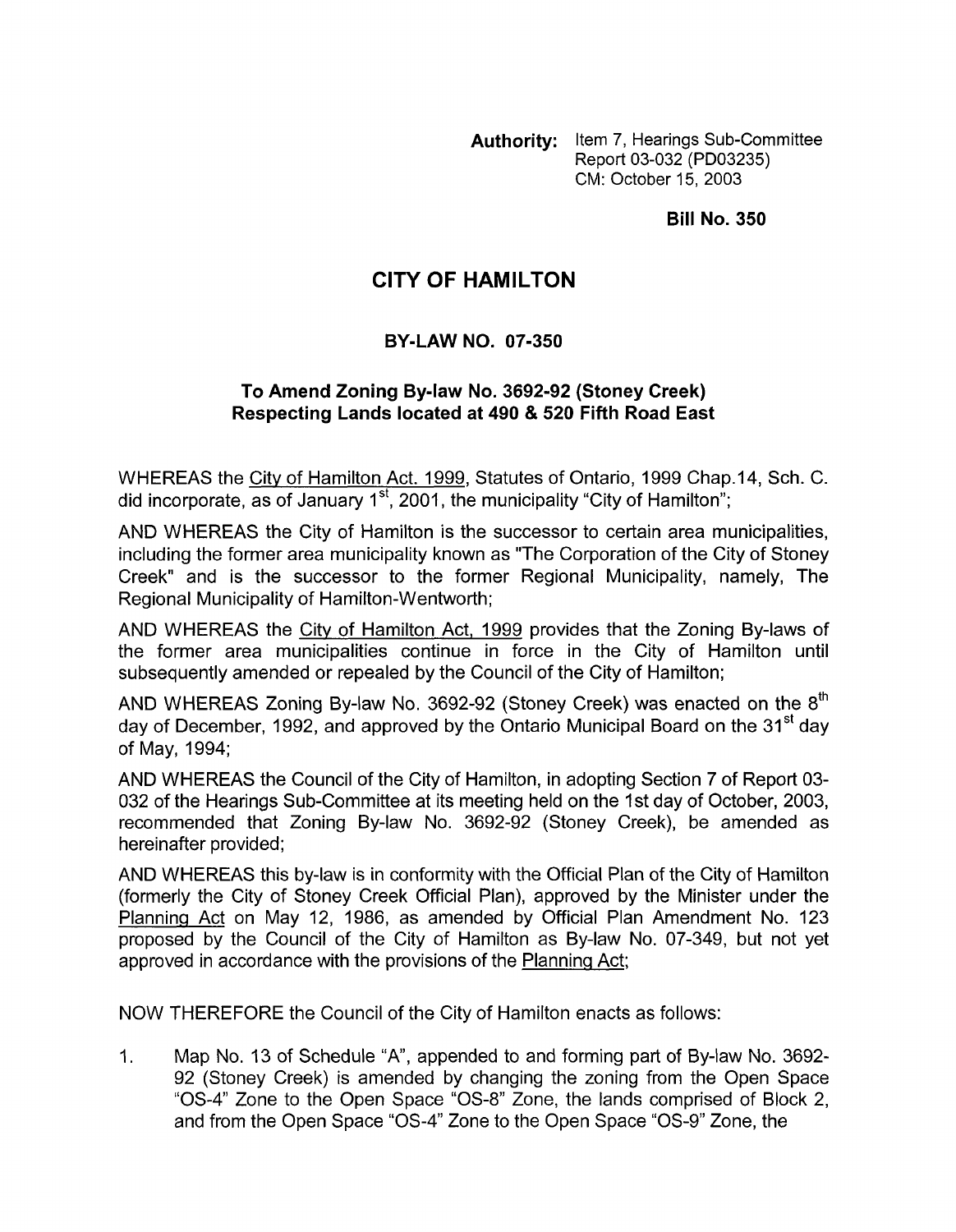**Authority:** Item 7, Hearings Sub-Committee Report 03-032 (PD03235) CM: October 15, 2003

**Bill No. 350** 

## **CITY OF HAMILTON**

## **BY-LAW NO. 07-350**

## **To Amend Zoning Bylaw No. 3692-92 (Stoney Creek) Respecting Lands located at 490** & **520 Fifth Road East**

WHEREAS the City of Hamilton Act. 1999, Statutes of Ontario, 1999 Chap.14, Sch. C. did incorporate, as of January  $1<sup>st</sup>$ , 2001, the municipality "City of Hamilton";

AND WHEREAS the City of Hamilton is the successor to certain area municipalities, including the former area municipality known as "The Corporation of the City of Stoney Creek" and is the successor to the former Regional Municipality, namely, The Regional Municipality of Hamilton-Wentworth;

AND WHEREAS the City of Hamilton Act, 1999 provides that the Zoning By-laws of the former area municipalities continue in force in the City of Hamilton until subsequently amended or repealed by the Council of the City of Hamilton;

AND WHEREAS Zoning By-law No. 3692-92 (Stoney Creek) was enacted on the  $8<sup>th</sup>$ day of December, 1992, and approved by the Ontario Municipal Board on the 31<sup>st</sup> day of May, 1994;

AND WHEREAS the Council of the City of Hamilton, in adopting Section 7 of Report 03- 032 of the Hearings Sub-committee at its meeting held on the 1st day of October, 2003, recommended that Zoning By-law No. 3692-92 (Stoney Creek), be amended as hereinafter provided;

AND WHEREAS this by-law is in conformity with the Official Plan of the City of Hamilton (formerly the City of Stoney Creek Official Plan), approved by the Minister under the Planninq Act on May 12, 1986, as amended by Official Plan Amendment No. 123 proposed by the Council of the City of Hamilton as By-law No. 07-349, but not yet approved in accordance with the provisions of the Planning Act;

NOW THEREFORE the Council of the City of Hamilton enacts as follows:

1. Map No. 13 of Schedule "A', appended to and forming part of By-law No. 3692- 92 (Stoney Creek) is amended by changing the zoning from the Open Space "0s-4" Zone to the Open Space "0s-8" Zone, the lands comprised of Block 2, and from the Open Space "0s-4" Zone to the Open Space "0s-9" Zone, the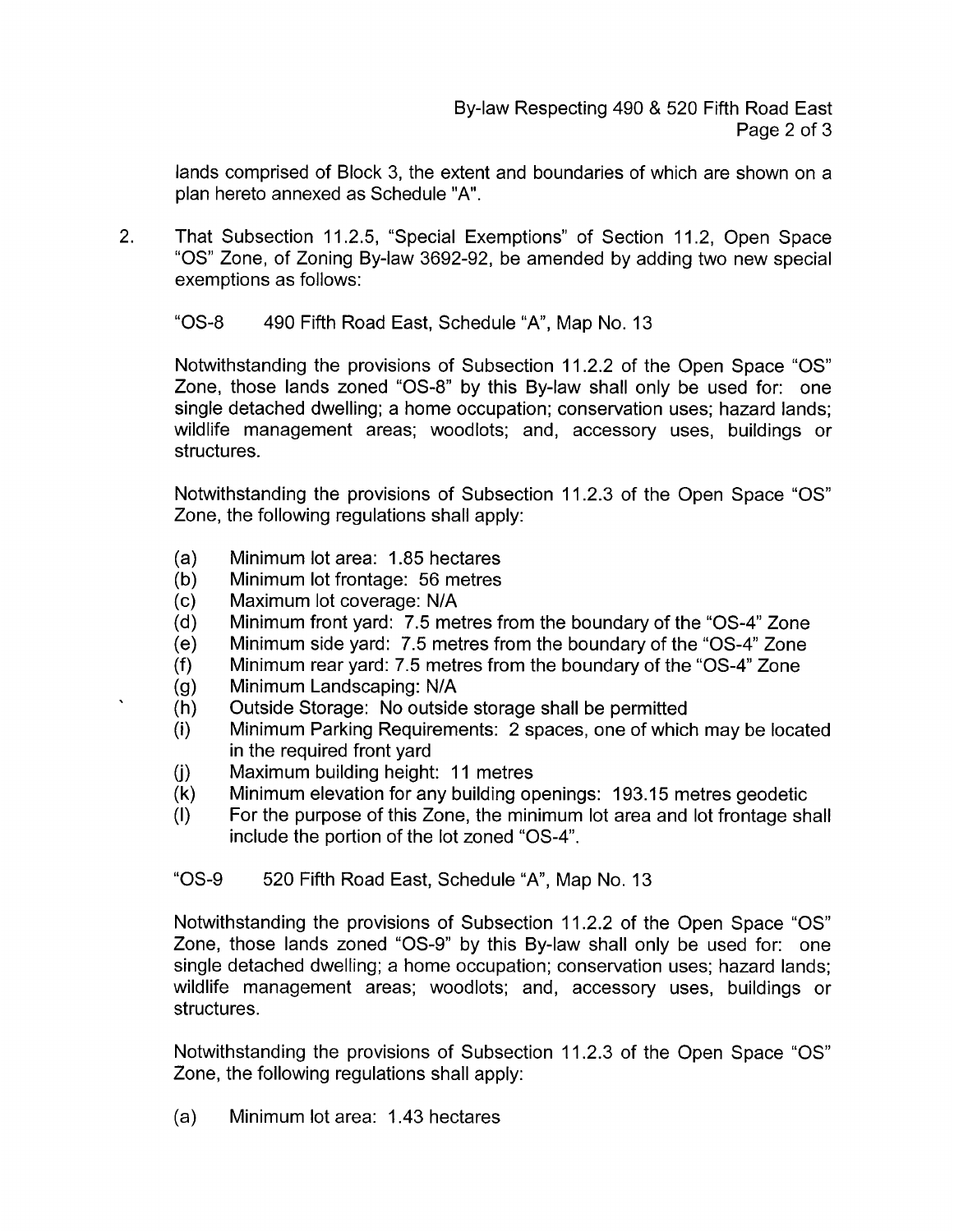lands comprised of Block 3, the extent and boundaries of which are shown on a plan hereto annexed as Schedule "A".

2. That Subsection 11.2.5, "Special Exemptions" of Section 11.2, Open Space *"0s"* Zone, of Zoning By-law 3692-92, be amended by adding two new special exemptions as follows:

"OS-8 490 Fifth Road East, Schedule "A", Map No. 13

Notwithstanding the provisions of Subsection 11.2.2 of the Open Space *"0s"*  Zone, those lands zoned "OS-8" by this By-law shall only be used for: one single detached dwelling; a home occupation; conservation uses; hazard lands; wildlife management areas; woodlots; and, accessory uses, buildings or structures.

Notwithstanding the provisions of Subsection 11.2.3 of the Open Space *"0s"*  Zone, the following regulations shall apply:

- Minimum lot area: 1.85 hectares  $(a)$
- Minimum lot frontage: 56 metres  $(b)$
- $(c)$ Maximum lot coverage: N/A
- Minimum front yard: 7.5 metres from the boundary of the "OS-4" Zone  $(d)$
- Minimum side yard: 7.5 metres from the boundary of the "OS-4" Zone  $(e)$
- $(f)$ Minimum rear yard: 7.5 metres from the boundary of the "OS-4" Zone
- Minimum Landscaping: N/A  $(q)$

 $\ddot{\phantom{0}}$ 

- $(h)$ Outside Storage: No outside storage shall be permitted
- $(i)$ Minimum Parking Requirements: 2 spaces, one of which may be located in the required front yard
- Maximum building height: 11 metres  $(i)$
- Minimum elevation for any building openings: 193.15 metres geodetic  $(k)$
- For the purpose of this Zone, the minimum lot area and lot frontage shall  $(1)$ include the portion of the lot zoned "OS-4".

"OS-9 520 Fifth Road East, Schedule "A", Map No. 13

Notwithstanding the provisions of Subsection 11.2.2 of the Open Space *"0s"*  Zone, those lands zoned "OS-9" by this By-law shall only be used for: one single detached dwelling; a home occupation; conservation uses; hazard lands; wildlife management areas; woodlots; and, accessory uses, buildings or structures.

Notwithstanding the provisions of Subsection 11.2.3 of the Open Space *"0s"*  Zone, the following regulations shall apply:

(a) Minimum lot area: 1.43 hectares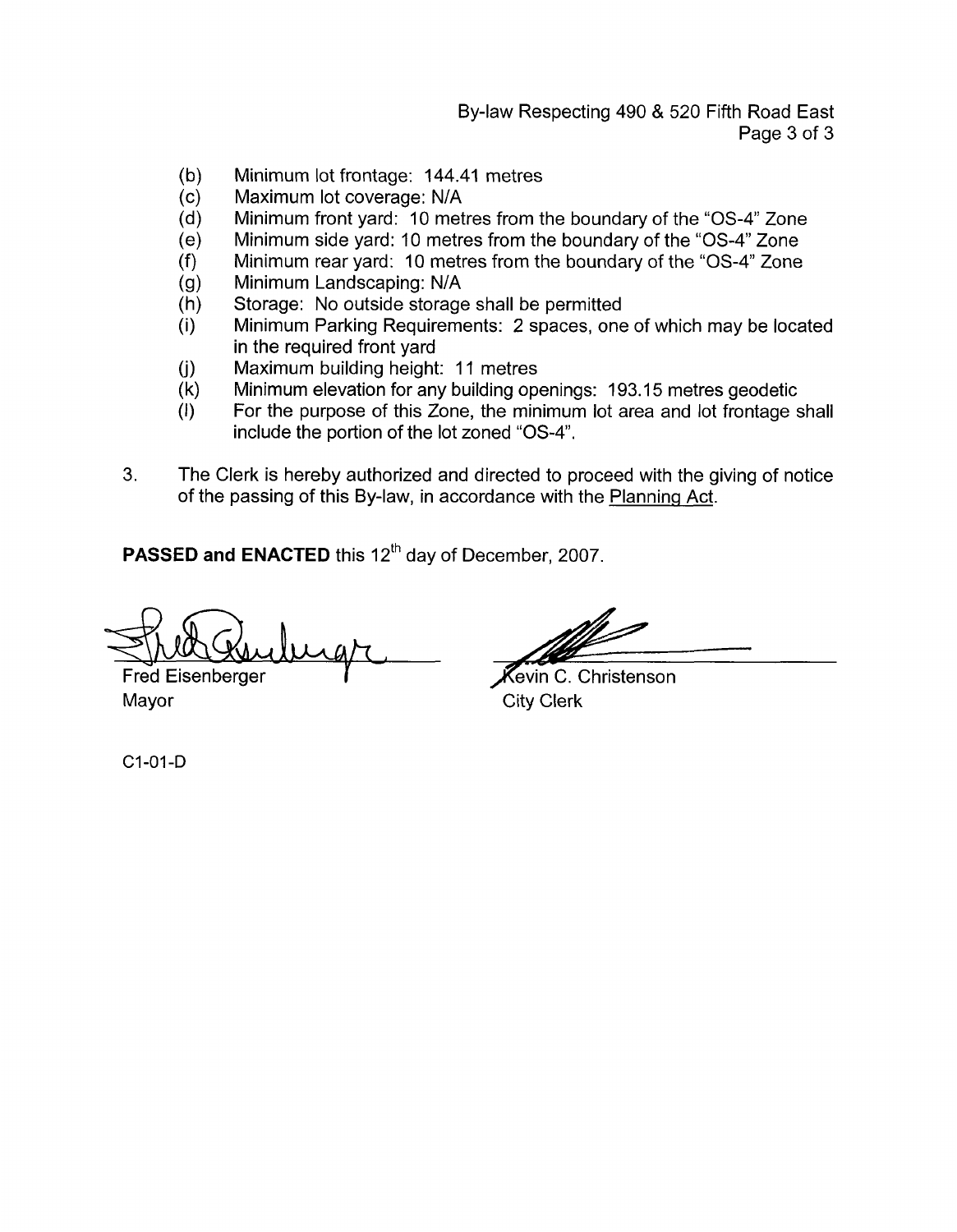By-law Respecting 490 & 520 Fifth Road East Page 3 of 3

- Minimum lot frontage: 144.41 metres  $(b)$
- Maximum lot coverage: N/A  $(c)$
- Minimum front yard: 10 metres from the boundary of the "0s-4" Zone  $(d)$
- Minimum side yard: 10 metres from the boundary of the "0s-4" Zone  $(e)$
- $(f)$ Minimum rear yard: I0 metres from the boundary of the "0s-4" Zone
- Minimum Landscaping: N/A  $(g)$
- Storage: No outside storage shall be permitted  $(h)$
- Minimum Parking Requirements: 2 spaces, one of which may be located  $(i)$ in the required front yard
- $(j)$ Maximum building height: 11 metres
- $(k)$ Minimum elevation for any building openings: 193.15 metres geodetic
- For the purpose of this Zone, the minimum lot area and lot frontage shall  $(1)$ include the portion of the lot zoned *"0s-4'.*
- **3.** The Clerk is hereby authorized and directed to proceed with the giving of notice of the passing of this By-law, in accordance with the Planning Act.

PASSED and ENACTED this 12<sup>th</sup> day of December, 2007.

**1**  marganin

Fred Eisenberger *r-*Mayor City Clerk

rh<br> **Kevin C. Christenson** 

C1-01-D